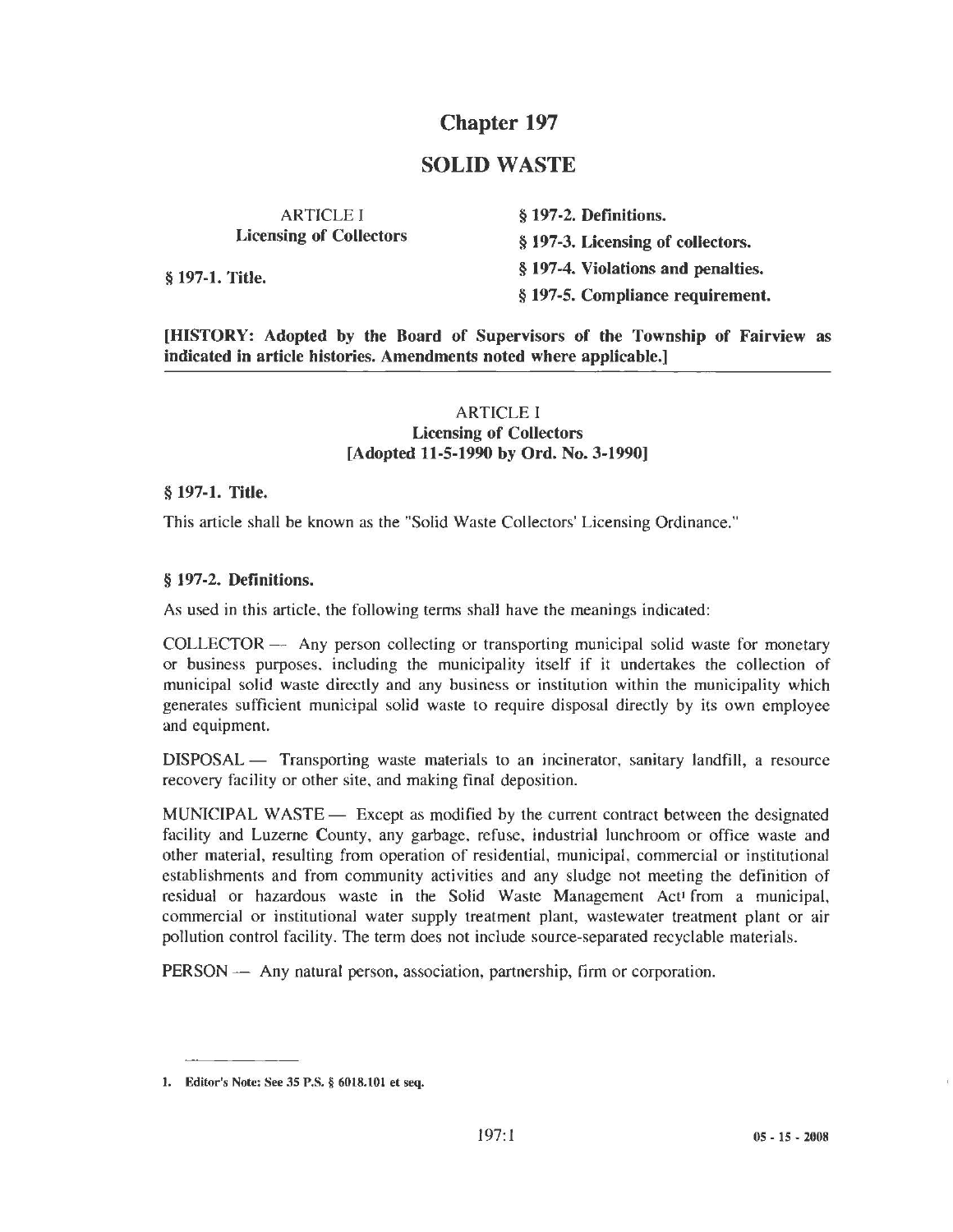# **Chapter 197**

## **SOLID WASTE**

ARTICLE I **Licensing of Collectors** 

§ **197-2. Definitions.**  § **197-3. Licensing of collectors.**  § **197-1. Title.** § **197-4. Violations and penalties.**  § **197-5. Compliance requirement.** 

**[HISTORY: Adopted by the Board of Supervisors of the Township of Fairview as indicated in article histories. Amendments noted where applicable.]** 

#### ARTICLE I **Licensing of Collectors [Adopted 11-5-1990 by Ord. No. 3-1990]**

#### § **197-1. Title.**

This article shall be known as the "Solid Waste Collectors' Licensing Ordinance."

#### § **197-2. Definitions.**

As used in this article. the following terms shall have the meanings indicated:

COLLECTOR - Any person collecting or transporting municipal solid waste for monetary or business purposes. including the municipality itself if it undertakes the collection of municipal solid waste directly and any business or institution within the municipality which generates sufficient municipal solid waste to require disposal directly by its own employee and equipment.

DISPOSAL — Transporting waste materials to an incinerator, sanitary landfill, a resource recovery facility or other site, and making final deposition.

MUNICIPAL WASTE — Except as modified by the current contract between the designated facility and Luzerne County, any garbage, refuse, industrial lunchroom or office waste and other material, resulting from operation of residential, municipal, commercial or institutional establishments and from community activities and any sludge not meeting the definition of residual or hazardous waste in the Solid Waste Management Act<sup>1</sup> from a municipal, commercial or institutional water supply treatment plant, wastewater treatment plant or air pollution control facility. The term does not include source-separated recyclable materials.

PERSON - Any natural person, association, partnership, firm or corporation.

<sup>1.</sup> Editor's Note: See 35 P.S. § 6018.101 et seq.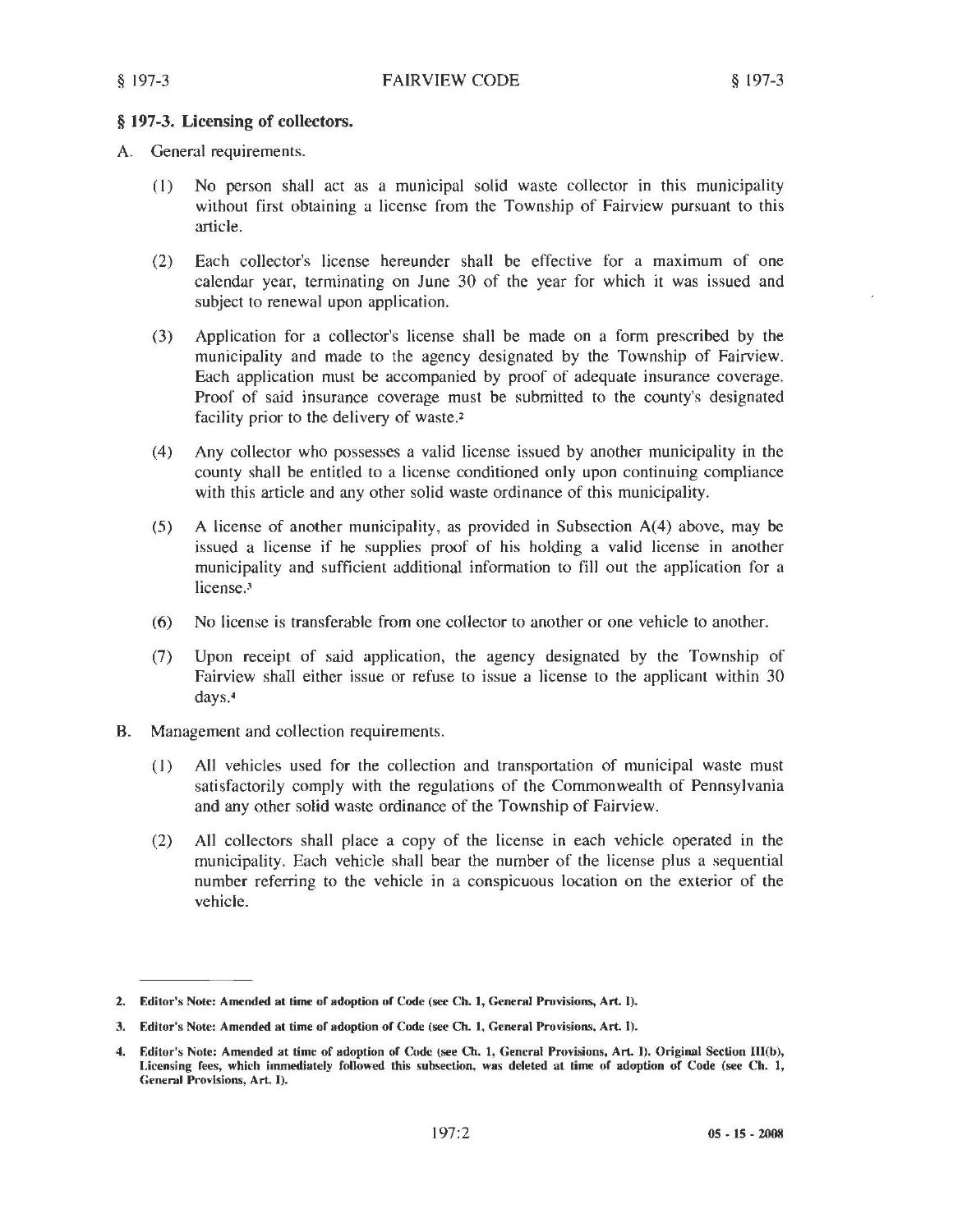#### § 197-3. Licensing of collectors.

- A. General requirements.
	- (I) No person shall act as a municipal solid waste collector in this municipality without first obtaining a license from the Township of Fairview pursuant to this article.
	- (2) Each collector's license hereunder shall be effective for a maximum of one calendar year, terminating on June 30 of the year for which it was issued and subject to renewal upon application.
	- (3) Application for a collector's license shall be made on a form prescribed by the municipality and made to the agency designated by the Township of Fairview. Each application must be accompanied by proof of adequate insurance coverage. Proof of said insurance coverage must be submitted to the county's designated facility prior to the delivery of waste.2
	- ( 4) Any collector who possesses a valid license issued by another municipality in the county shall be entitled to a license conditioned only upon continuing compliance with this article and any other solid waste ordinance of this municipality.
	- (5) A license of another municipality, as provided in Subsection A(4) above, may be issued a license if he supplies proof of his holding a valid license in another municipality and sufficient additional information to fill out the application for a license.<sup>3</sup>
	- (6) No license is transferable from one collector to another or one vehicle to another.
	- (7) Upon receipt of said application, the agency designated by the Township of Fairview shall either issue or refuse to issue a license to the applicant within 30 days.<sup>4</sup>
- B. Management and collection requirements.
	- (I) All vehicles used for the collection and transportation of municipal waste must satisfactorily comply with the regulations of the Commonwealth of Pennsylvania and any other solid waste ordinance of the Township of Fairview.
	- (2) All collectors shall place a copy of the license in each vehicle operated in the municipality. Each vehicle shall bear the number of the license plus a sequential number referring to the vehicle in a conspicuous location on the exterior of the vehicle.

<sup>2.</sup> Editor's Note: Amended at time or adoption or Code (see Ch. I, General Provisions, Art. I).

<sup>3.</sup> Editor's Note: Amended at time or adoption or Code (see Ch. I, General Provisions, Art. I).

<sup>4.</sup> Editor's Note: Amended at time of adoption or Code (see Ch. I, General Provisions, Art. I). Original Section lll(b), Licensing fees, which immediately followed this subsection, was deleted at time of adoption of Code (see Ch. 1, General Provisions, Art. I).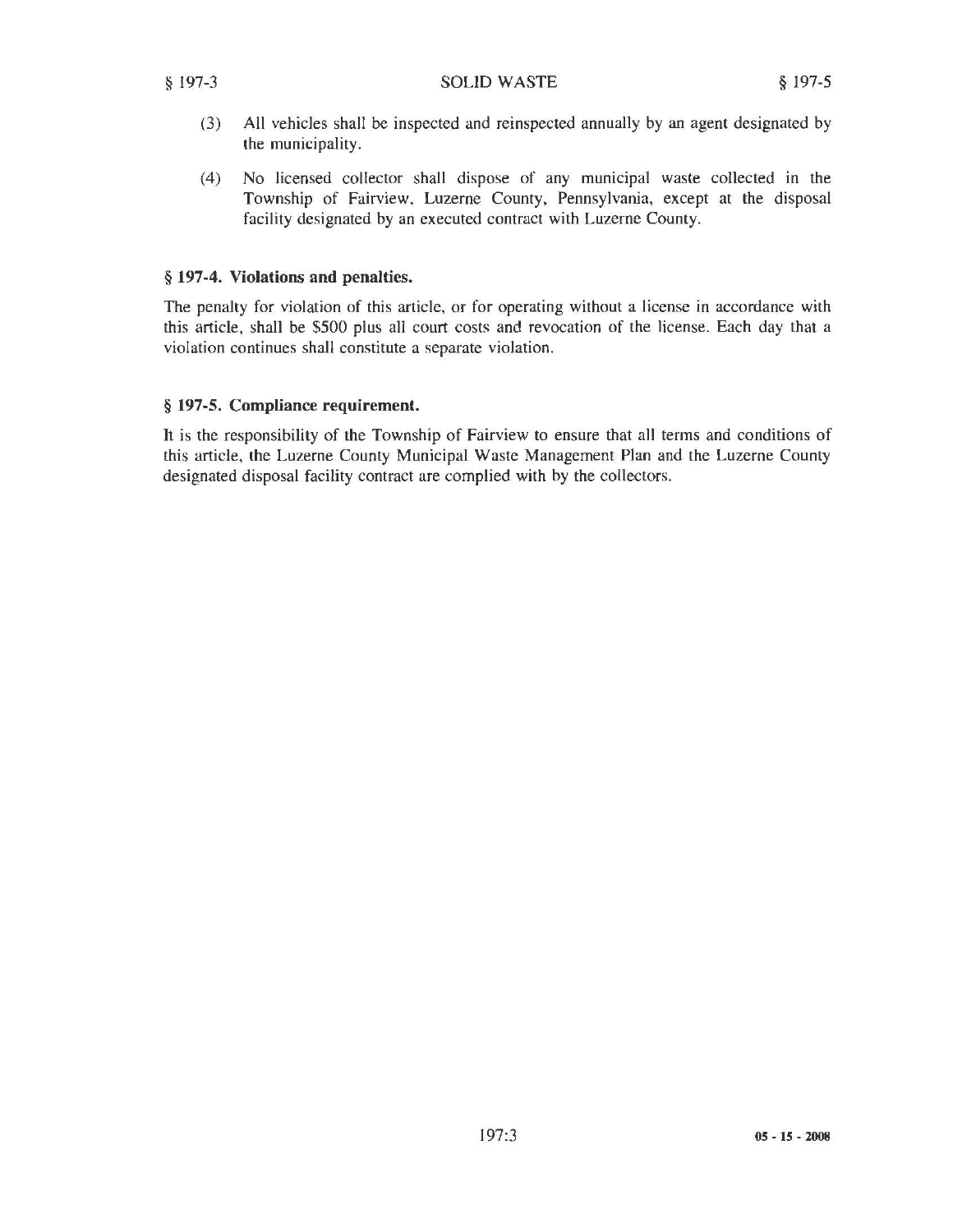- (3) All vehicles shall be inspected and reinspected annually by an agent designated by the municipality.
- (4) No licensed collector shall dispose of any municipal waste collected in the Township of Fairview, Luzerne County, Pennsylvania, except at the disposal facility designated by an executed contract with Luzerne County.

### § 197-4. Violations and penalties.

The penalty for violation of this article, or for operating without a license in accordance with this article, shall be \$500 plus all court costs and revocation of the license. Each day that a violation continues shall constitute a separate violation.

### § 197-5. Compliance requirement.

It is the responsibility of the Township of Fairview to ensure that all terms and conditions of this article, the Luzerne County Municipal Waste Management Plan and the Luzerne County designated disposal facility contract are complied with by the collectors.